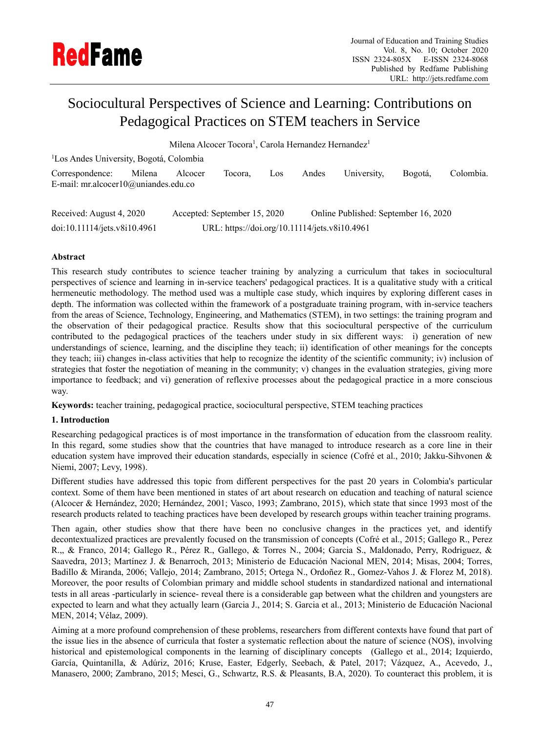

# Sociocultural Perspectives of Science and Learning: Contributions on Pedagogical Practices on STEM teachers in Service

Milena Alcocer Tocora<sup>1</sup>, Carola Hernandez Hernandez<sup>1</sup>

<sup>1</sup>Los Andes University, Bogotá, Colombia

| Correspondence: Milena Alcocer Tocora, Los Andes University, Bogotá, Colombia. |  |  |  |  |
|--------------------------------------------------------------------------------|--|--|--|--|
| E-mail: mr.alcocer10@uniandes.edu.co                                           |  |  |  |  |

| Received: August 4, 2020     | Accepted: September 15, 2020                  | Online Published: September 16, 2020 |
|------------------------------|-----------------------------------------------|--------------------------------------|
| doi:10.11114/jets.v8i10.4961 | URL: https://doi.org/10.11114/jets.v8i10.4961 |                                      |

# **Abstract**

This research study contributes to science teacher training by analyzing a curriculum that takes in sociocultural perspectives of science and learning in in-service teachers' pedagogical practices. It is a qualitative study with a critical hermeneutic methodology. The method used was a multiple case study, which inquires by exploring different cases in depth. The information was collected within the framework of a postgraduate training program, with in-service teachers from the areas of Science, Technology, Engineering, and Mathematics (STEM), in two settings: the training program and the observation of their pedagogical practice. Results show that this sociocultural perspective of the curriculum contributed to the pedagogical practices of the teachers under study in six different ways: i) generation of new understandings of science, learning, and the discipline they teach; ii) identification of other meanings for the concepts they teach; iii) changes in-class activities that help to recognize the identity of the scientific community; iv) inclusion of strategies that foster the negotiation of meaning in the community; v) changes in the evaluation strategies, giving more importance to feedback; and vi) generation of reflexive processes about the pedagogical practice in a more conscious way.

**Keywords:** teacher training, pedagogical practice, sociocultural perspective, STEM teaching practices

# **1. Introduction**

Researching pedagogical practices is of most importance in the transformation of education from the classroom reality. In this regard, some studies show that the countries that have managed to introduce research as a core line in their education system have improved their education standards, especially in science (Cofré et al., 2010; Jakku-Sihvonen & Niemi, 2007; Levy, 1998).

Different studies have addressed this topic from different perspectives for the past 20 years in Colombia's particular context. Some of them have been mentioned in states of art about research on education and teaching of natural science (Alcocer & Hernández, 2020; Hernández, 2001; Vasco, 1993; Zambrano, 2015), which state that since 1993 most of the research products related to teaching practices have been developed by research groups within teacher training programs.

Then again, other studies show that there have been no conclusive changes in the practices yet, and identify decontextualized practices are prevalently focused on the transmission of concepts (Cofré et al., 2015; Gallego R., Perez R.,, & Franco, 2014; Gallego R., Pérez R., Gallego, & Torres N., 2004; Garcia S., Maldonado, Perry, Rodriguez, & Saavedra, 2013; Martínez J. & Benarroch, 2013; Ministerio de Educación Nacional MEN, 2014; Misas, 2004; Torres, Badillo & Miranda, 2006; Vallejo, 2014; Zambrano, 2015; Ortega N., Ordoñez R., Gomez-Vahos J. & Florez M, 2018). Moreover, the poor results of Colombian primary and middle school students in standardized national and international tests in all areas -particularly in science- reveal there is a considerable gap between what the children and youngsters are expected to learn and what they actually learn (Garcia J., 2014; S. Garcia et al., 2013; Ministerio de Educación Nacional MEN, 2014; Vélaz, 2009).

Aiming at a more profound comprehension of these problems, researchers from different contexts have found that part of the issue lies in the absence of curricula that foster a systematic reflection about the nature of science (NOS), involving historical and epistemological components in the learning of disciplinary concepts (Gallego et al., 2014; Izquierdo, García, Quintanilla, & Adúriz, 2016; Kruse, Easter, Edgerly, Seebach, & Patel, 2017; Vázquez, A., Acevedo, J., Manasero, 2000; Zambrano, 2015; Mesci, G., Schwartz, R.S. & Pleasants, B.A, 2020). To counteract this problem, it is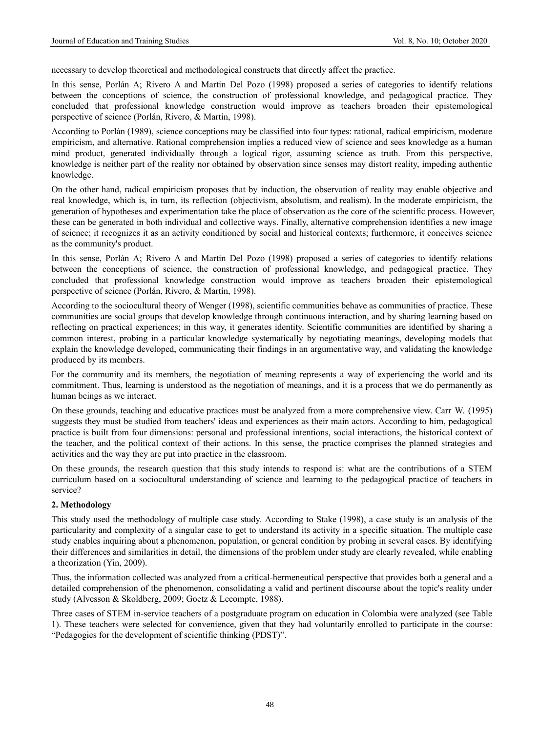necessary to develop theoretical and methodological constructs that directly affect the practice.

In this sense, Porlán A; Rivero A and Martin Del Pozo (1998) proposed a series of categories to identify relations between the conceptions of science, the construction of professional knowledge, and pedagogical practice. They concluded that professional knowledge construction would improve as teachers broaden their epistemological perspective of science (Porlán, Rivero, & Martín, 1998).

According to Porlán (1989), science conceptions may be classified into four types: rational, radical empiricism, moderate empiricism, and alternative. Rational comprehension implies a reduced view of science and sees knowledge as a human mind product, generated individually through a logical rigor, assuming science as truth. From this perspective, knowledge is neither part of the reality nor obtained by observation since senses may distort reality, impeding authentic knowledge.

On the other hand, radical empiricism proposes that by induction, the observation of reality may enable objective and real knowledge, which is, in turn, its reflection (objectivism, absolutism, and realism). In the moderate empiricism, the generation of hypotheses and experimentation take the place of observation as the core of the scientific process. However, these can be generated in both individual and collective ways. Finally, alternative comprehension identifies a new image of science; it recognizes it as an activity conditioned by social and historical contexts; furthermore, it conceives science as the community's product.

In this sense, Porlán A; Rivero A and Martin Del Pozo (1998) proposed a series of categories to identify relations between the conceptions of science, the construction of professional knowledge, and pedagogical practice. They concluded that professional knowledge construction would improve as teachers broaden their epistemological perspective of science (Porlán, Rivero, & Martín, 1998).

According to the sociocultural theory of Wenger (1998), scientific communities behave as communities of practice. These communities are social groups that develop knowledge through continuous interaction, and by sharing learning based on reflecting on practical experiences; in this way, it generates identity. Scientific communities are identified by sharing a common interest, probing in a particular knowledge systematically by negotiating meanings, developing models that explain the knowledge developed, communicating their findings in an argumentative way, and validating the knowledge produced by its members.

For the community and its members, the negotiation of meaning represents a way of experiencing the world and its commitment. Thus, learning is understood as the negotiation of meanings, and it is a process that we do permanently as human beings as we interact.

On these grounds, teaching and educative practices must be analyzed from a more comprehensive view. Carr W. (1995) suggests they must be studied from teachers' ideas and experiences as their main actors. According to him, pedagogical practice is built from four dimensions: personal and professional intentions, social interactions, the historical context of the teacher, and the political context of their actions. In this sense, the practice comprises the planned strategies and activities and the way they are put into practice in the classroom.

On these grounds, the research question that this study intends to respond is: what are the contributions of a STEM curriculum based on a sociocultural understanding of science and learning to the pedagogical practice of teachers in service?

## **2. Methodology**

This study used the methodology of multiple case study. According to Stake (1998), a case study is an analysis of the particularity and complexity of a singular case to get to understand its activity in a specific situation. The multiple case study enables inquiring about a phenomenon, population, or general condition by probing in several cases. By identifying their differences and similarities in detail, the dimensions of the problem under study are clearly revealed, while enabling a theorization (Yin, 2009).

Thus, the information collected was analyzed from a critical-hermeneutical perspective that provides both a general and a detailed comprehension of the phenomenon, consolidating a valid and pertinent discourse about the topic's reality under study (Alvesson & Skoldberg, 2009; Goetz & Lecompte, 1988).

Three cases of STEM in-service teachers of a postgraduate program on education in Colombia were analyzed (see Table 1). These teachers were selected for convenience, given that they had voluntarily enrolled to participate in the course: "Pedagogies for the development of scientific thinking (PDST)".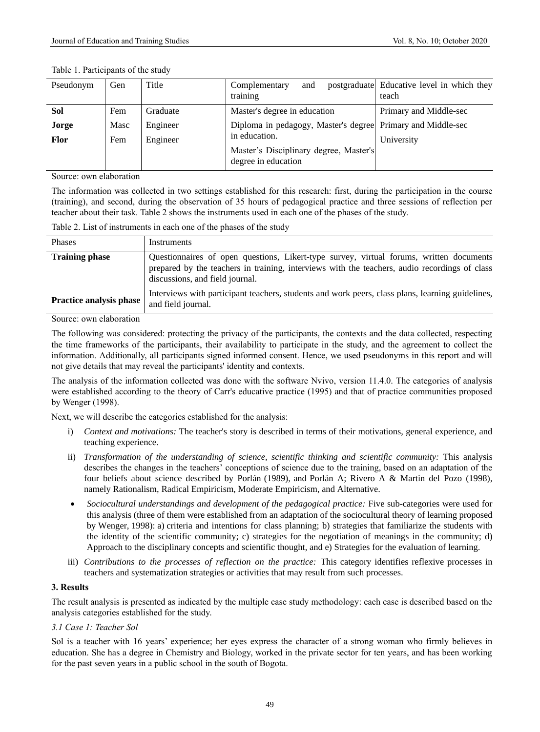| Pseudonym   | Gen  | Title    | Complementary<br>and<br>training                              | postgraduate Educative level in which they<br>teach |
|-------------|------|----------|---------------------------------------------------------------|-----------------------------------------------------|
| Sol         | Fem  | Graduate | Master's degree in education                                  | Primary and Middle-sec                              |
| Jorge       | Masc | Engineer | Diploma in pedagogy, Master's degree Primary and Middle-sec   |                                                     |
| <b>Flor</b> | Fem  | Engineer | in education.                                                 | University                                          |
|             |      |          | Master's Disciplinary degree, Master's<br>degree in education |                                                     |
|             |      |          |                                                               |                                                     |

#### Table 1. Participants of the study

Source: own elaboration

The information was collected in two settings established for this research: first, during the participation in the course (training), and second, during the observation of 35 hours of pedagogical practice and three sessions of reflection per teacher about their task. Table 2 shows the instruments used in each one of the phases of the study.

Table 2. List of instruments in each one of the phases of the study

| Phases                         | Instruments                                                                                                                                                                                                                 |
|--------------------------------|-----------------------------------------------------------------------------------------------------------------------------------------------------------------------------------------------------------------------------|
| <b>Training phase</b>          | Questionnaires of open questions, Likert-type survey, virtual forums, written documents<br>prepared by the teachers in training, interviews with the teachers, audio recordings of class<br>discussions, and field journal. |
| <b>Practice analysis phase</b> | Interviews with participant teachers, students and work peers, class plans, learning guidelines,<br>and field journal.                                                                                                      |

Source: own elaboration

The following was considered: protecting the privacy of the participants, the contexts and the data collected, respecting the time frameworks of the participants, their availability to participate in the study, and the agreement to collect the information. Additionally, all participants signed informed consent. Hence, we used pseudonyms in this report and will not give details that may reveal the participants' identity and contexts.

The analysis of the information collected was done with the software Nvivo, version 11.4.0. The categories of analysis were established according to the theory of Carr's educative practice (1995) and that of practice communities proposed by Wenger (1998).

Next, we will describe the categories established for the analysis:

- i) *Context and motivations:* The teacher's story is described in terms of their motivations, general experience, and teaching experience.
- ii) *Transformation of the understanding of science, scientific thinking and scientific community:* This analysis describes the changes in the teachers' conceptions of science due to the training, based on an adaptation of the four beliefs about science described by Porlán (1989), and Porlán A; Rivero A & Martin del Pozo (1998), namely Rationalism, Radical Empiricism, Moderate Empiricism, and Alternative.
- *Sociocultural understandings and development of the pedagogical practice:* Five sub-categories were used for this analysis (three of them were established from an adaptation of the sociocultural theory of learning proposed by Wenger, 1998): a) criteria and intentions for class planning; b) strategies that familiarize the students with the identity of the scientific community; c) strategies for the negotiation of meanings in the community; d) Approach to the disciplinary concepts and scientific thought, and e) Strategies for the evaluation of learning.
- iii) *Contributions to the processes of reflection on the practice:* This category identifies reflexive processes in teachers and systematization strategies or activities that may result from such processes.

## **3. Results**

The result analysis is presented as indicated by the multiple case study methodology: each case is described based on the analysis categories established for the study.

## *3.1 Case 1: Teacher Sol*

Sol is a teacher with 16 years' experience; her eyes express the character of a strong woman who firmly believes in education. She has a degree in Chemistry and Biology, worked in the private sector for ten years, and has been working for the past seven years in a public school in the south of Bogota.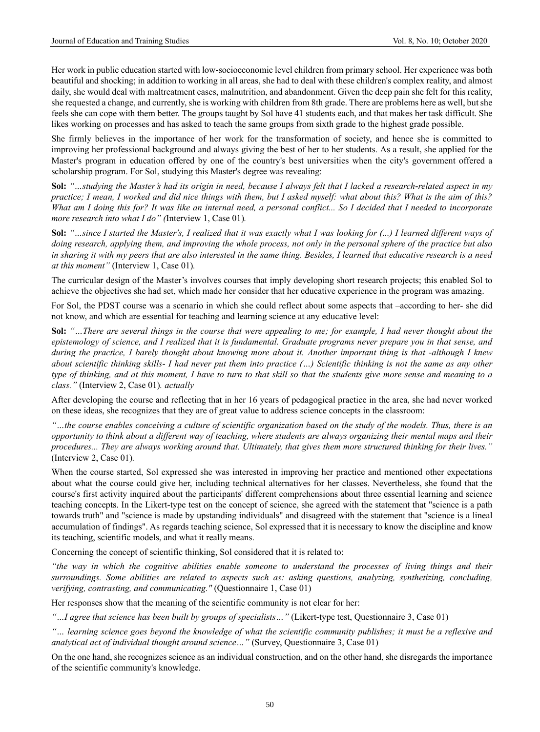Her work in public education started with low-socioeconomic level children from primary school. Her experience was both beautiful and shocking; in addition to working in all areas, she had to deal with these children's complex reality, and almost daily, she would deal with maltreatment cases, malnutrition, and abandonment. Given the deep pain she felt for this reality, she requested a change, and currently, she is working with children from 8th grade. There are problems here as well, but she feels she can cope with them better. The groups taught by Sol have 41 students each, and that makes her task difficult. She likes working on processes and has asked to teach the same groups from sixth grade to the highest grade possible.

She firmly believes in the importance of her work for the transformation of society, and hence she is committed to improving her professional background and always giving the best of her to her students. As a result, she applied for the Master's program in education offered by one of the country's best universities when the city's government offered a scholarship program. For Sol, studying this Master's degree was revealing:

**Sol:** *"…studying the Master's had its origin in need, because I always felt that I lacked a research-related aspect in my practice; I mean, I worked and did nice things with them, but I asked myself: what about this? What is the aim of this? What am I doing this for? It was like an internal need, a personal conflict... So I decided that I needed to incorporate more research into what I do" (*Interview 1, Case 01)*.*

**Sol:** *"…since I started the Master's, I realized that it was exactly what I was looking for (...) I learned different ways of doing research, applying them, and improving the whole process, not only in the personal sphere of the practice but also in sharing it with my peers that are also interested in the same thing. Besides, I learned that educative research is a need at this moment"* (Interview 1, Case 01)*.*

The curricular design of the Master's involves courses that imply developing short research projects; this enabled Sol to achieve the objectives she had set, which made her consider that her educative experience in the program was amazing.

For Sol, the PDST course was a scenario in which she could reflect about some aspects that –according to her- she did not know, and which are essential for teaching and learning science at any educative level:

**Sol:** *"…There are several things in the course that were appealing to me; for example, I had never thought about the epistemology of science, and I realized that it is fundamental. Graduate programs never prepare you in that sense, and during the practice, I barely thought about knowing more about it. Another important thing is that -although I knew about scientific thinking skills- I had never put them into practice (…) Scientific thinking is not the same as any other type of thinking, and at this moment, I have to turn to that skill so that the students give more sense and meaning to a class."* (Interview 2, Case 01)*. actually*

After developing the course and reflecting that in her 16 years of pedagogical practice in the area, she had never worked on these ideas, she recognizes that they are of great value to address science concepts in the classroom:

*"…the course enables conceiving a culture of scientific organization based on the study of the models. Thus, there is an opportunity to think about a different way of teaching, where students are always organizing their mental maps and their procedures... They are always working around that. Ultimately, that gives them more structured thinking for their lives."* (Interview 2, Case 01)*.*

When the course started, Sol expressed she was interested in improving her practice and mentioned other expectations about what the course could give her, including technical alternatives for her classes. Nevertheless, she found that the course's first activity inquired about the participants' different comprehensions about three essential learning and science teaching concepts. In the Likert-type test on the concept of science, she agreed with the statement that "science is a path towards truth" and "science is made by upstanding individuals" and disagreed with the statement that "science is a lineal accumulation of findings". As regards teaching science, Sol expressed that it is necessary to know the discipline and know its teaching, scientific models, and what it really means.

Concerning the concept of scientific thinking, Sol considered that it is related to:

*"the way in which the cognitive abilities enable someone to understand the processes of living things and their surroundings. Some abilities are related to aspects such as: asking questions, analyzing, synthetizing, concluding, verifying, contrasting, and communicating."* (Questionnaire 1, Case 01)

Her responses show that the meaning of the scientific community is not clear for her:

*"…I agree that science has been built by groups of specialists…"* (Likert-type test, Questionnaire 3, Case 01)

*"… learning science goes beyond the knowledge of what the scientific community publishes; it must be a reflexive and analytical act of individual thought around science…"* (Survey, Questionnaire 3, Case 01)

On the one hand, she recognizes science as an individual construction, and on the other hand, she disregards the importance of the scientific community's knowledge.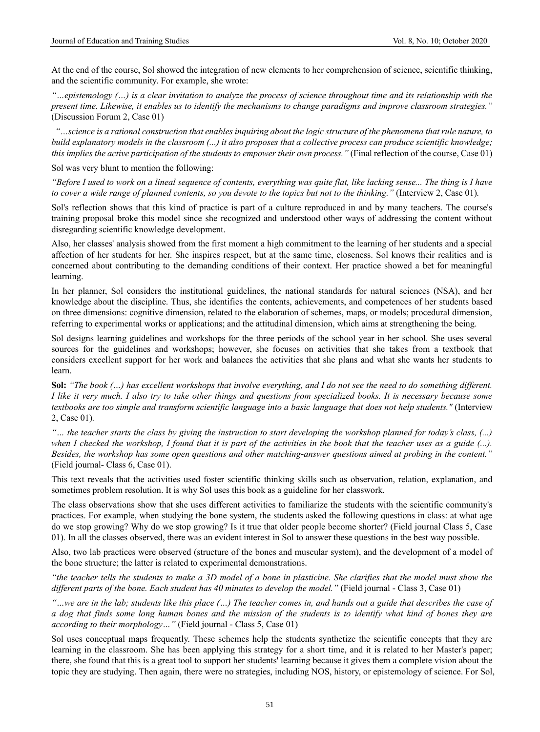At the end of the course, Sol showed the integration of new elements to her comprehension of science, scientific thinking, and the scientific community. For example, she wrote:

*"…epistemology (…) is a clear invitation to analyze the process of science throughout time and its relationship with the present time. Likewise, it enables us to identify the mechanisms to change paradigms and improve classroom strategies."*  (Discussion Forum 2, Case 01)

*"…science is a rational construction that enables inquiring about the logic structure of the phenomena that rule nature, to build explanatory models in the classroom (...) it also proposes that a collective process can produce scientific knowledge; this implies the active participation of the students to empower their own process.*" (Final reflection of the course, Case 01)

Sol was very blunt to mention the following:

*"Before I used to work on a lineal sequence of contents, everything was quite flat, like lacking sense... The thing is I have to cover a wide range of planned contents, so you devote to the topics but not to the thinking."* (Interview 2, Case 01)*.*

Sol's reflection shows that this kind of practice is part of a culture reproduced in and by many teachers. The course's training proposal broke this model since she recognized and understood other ways of addressing the content without disregarding scientific knowledge development.

Also, her classes' analysis showed from the first moment a high commitment to the learning of her students and a special affection of her students for her. She inspires respect, but at the same time, closeness. Sol knows their realities and is concerned about contributing to the demanding conditions of their context. Her practice showed a bet for meaningful learning.

In her planner, Sol considers the institutional guidelines, the national standards for natural sciences (NSA), and her knowledge about the discipline. Thus, she identifies the contents, achievements, and competences of her students based on three dimensions: cognitive dimension, related to the elaboration of schemes, maps, or models; procedural dimension, referring to experimental works or applications; and the attitudinal dimension, which aims at strengthening the being.

Sol designs learning guidelines and workshops for the three periods of the school year in her school. She uses several sources for the guidelines and workshops; however, she focuses on activities that she takes from a textbook that considers excellent support for her work and balances the activities that she plans and what she wants her students to learn.

**Sol:** *"The book (…) has excellent workshops that involve everything, and I do not see the need to do something different. I like it very much. I also try to take other things and questions from specialized books. It is necessary because some textbooks are too simple and transform scientific language into a basic language that does not help students."* (Interview 2, Case 01)*.*

*"… the teacher starts the class by giving the instruction to start developing the workshop planned for today's class, (...) when I checked the workshop, I found that it is part of the activities in the book that the teacher uses as a guide (...). Besides, the workshop has some open questions and other matching-answer questions aimed at probing in the content."* (Field journal- Class 6, Case 01).

This text reveals that the activities used foster scientific thinking skills such as observation, relation, explanation, and sometimes problem resolution. It is why Sol uses this book as a guideline for her classwork.

The class observations show that she uses different activities to familiarize the students with the scientific community's practices. For example, when studying the bone system, the students asked the following questions in class: at what age do we stop growing? Why do we stop growing? Is it true that older people become shorter? (Field journal Class 5, Case 01). In all the classes observed, there was an evident interest in Sol to answer these questions in the best way possible.

Also, two lab practices were observed (structure of the bones and muscular system), and the development of a model of the bone structure; the latter is related to experimental demonstrations.

*"the teacher tells the students to make a 3D model of a bone in plasticine. She clarifies that the model must show the different parts of the bone. Each student has 40 minutes to develop the model."* (Field journal - Class 3, Case 01)

*"…we are in the lab; students like this place (…) The teacher comes in, and hands out a guide that describes the case of a dog that finds some long human bones and the mission of the students is to identify what kind of bones they are according to their morphology…"* (Field journal - Class 5, Case 01)

Sol uses conceptual maps frequently. These schemes help the students synthetize the scientific concepts that they are learning in the classroom. She has been applying this strategy for a short time, and it is related to her Master's paper; there, she found that this is a great tool to support her students' learning because it gives them a complete vision about the topic they are studying. Then again, there were no strategies, including NOS, history, or epistemology of science. For Sol,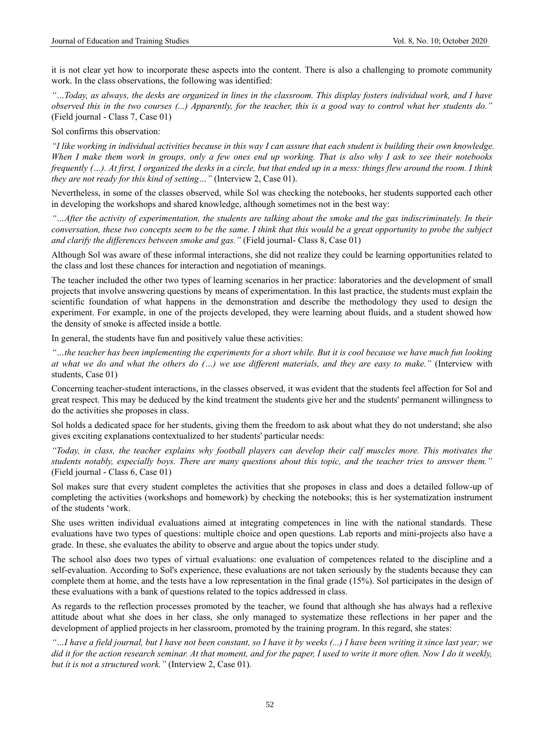it is not clear yet how to incorporate these aspects into the content. There is also a challenging to promote community work. In the class observations, the following was identified:

*"…Today, as always, the desks are organized in lines in the classroom. This display fosters individual work, and I have observed this in the two courses (...) Apparently, for the teacher, this is a good way to control what her students do."*  (Field journal - Class 7, Case 01)

Sol confirms this observation:

*"I like working in individual activities because in this way I can assure that each student is building their own knowledge. When I make them work in groups, only a few ones end up working. That is also why I ask to see their notebooks frequently (…). At first, I organized the desks in a circle, but that ended up in a mess: things flew around the room. I think they are not ready for this kind of setting…"* (Interview 2, Case 01).

Nevertheless, in some of the classes observed, while Sol was checking the notebooks, her students supported each other in developing the workshops and shared knowledge, although sometimes not in the best way:

*"…After the activity of experimentation, the students are talking about the smoke and the gas indiscriminately. In their conversation, these two concepts seem to be the same. I think that this would be a great opportunity to probe the subject and clarify the differences between smoke and gas.* " (Field journal- Class 8, Case 01)

Although Sol was aware of these informal interactions, she did not realize they could be learning opportunities related to the class and lost these chances for interaction and negotiation of meanings.

The teacher included the other two types of learning scenarios in her practice: laboratories and the development of small projects that involve answering questions by means of experimentation. In this last practice, the students must explain the scientific foundation of what happens in the demonstration and describe the methodology they used to design the experiment. For example, in one of the projects developed, they were learning about fluids, and a student showed how the density of smoke is affected inside a bottle.

In general, the students have fun and positively value these activities:

*"…the teacher has been implementing the experiments for a short while. But it is cool because we have much fun looking at what we do and what the others do (…) we use different materials, and they are easy to make."* (Interview with students, Case 01)

Concerning teacher-student interactions, in the classes observed, it was evident that the students feel affection for Sol and great respect. This may be deduced by the kind treatment the students give her and the students' permanent willingness to do the activities she proposes in class.

Sol holds a dedicated space for her students, giving them the freedom to ask about what they do not understand; she also gives exciting explanations contextualized to her students' particular needs:

*"Today, in class, the teacher explains why football players can develop their calf muscles more. This motivates the students notably, especially boys. There are many questions about this topic, and the teacher tries to answer them."* (Field journal - Class 6, Case 01)

Sol makes sure that every student completes the activities that she proposes in class and does a detailed follow-up of completing the activities (workshops and homework) by checking the notebooks; this is her systematization instrument of the students 'work.

She uses written individual evaluations aimed at integrating competences in line with the national standards. These evaluations have two types of questions: multiple choice and open questions. Lab reports and mini-projects also have a grade. In these, she evaluates the ability to observe and argue about the topics under study.

The school also does two types of virtual evaluations: one evaluation of competences related to the discipline and a self-evaluation. According to Sol's experience, these evaluations are not taken seriously by the students because they can complete them at home, and the tests have a low representation in the final grade (15%). Sol participates in the design of these evaluations with a bank of questions related to the topics addressed in class.

As regards to the reflection processes promoted by the teacher, we found that although she has always had a reflexive attitude about what she does in her class, she only managed to systematize these reflections in her paper and the development of applied projects in her classroom, promoted by the training program. In this regard, she states:

*"…I have a field journal, but I have not been constant, so I have it by weeks (...) I have been writing it since last year; we did it for the action research seminar. At that moment, and for the paper, I used to write it more often. Now I do it weekly, but it is not a structured work."* (Interview 2, Case 01)*.*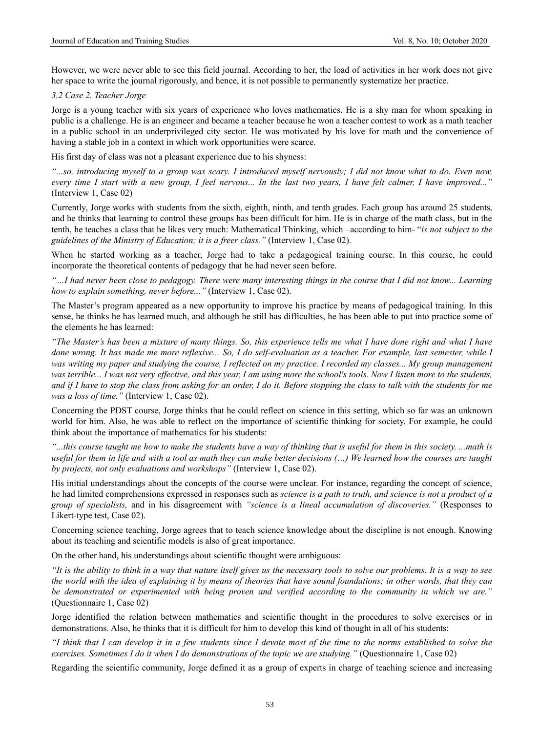However, we were never able to see this field journal. According to her, the load of activities in her work does not give her space to write the journal rigorously, and hence, it is not possible to permanently systematize her practice.

#### *3.2 Case 2. Teacher Jorge*

Jorge is a young teacher with six years of experience who loves mathematics. He is a shy man for whom speaking in public is a challenge. He is an engineer and became a teacher because he won a teacher contest to work as a math teacher in a public school in an underprivileged city sector. He was motivated by his love for math and the convenience of having a stable job in a context in which work opportunities were scarce.

His first day of class was not a pleasant experience due to his shyness:

*"...so, introducing myself to a group was scary. I introduced myself nervously; I did not know what to do. Even now, every time I start with a new group, I feel nervous... In the last two years, I have felt calmer, I have improved..."* (Interview 1, Case 02)

Currently, Jorge works with students from the sixth, eighth, ninth, and tenth grades. Each group has around 25 students, and he thinks that learning to control these groups has been difficult for him. He is in charge of the math class, but in the tenth, he teaches a class that he likes very much: Mathematical Thinking, which –according to him- "*is not subject to the guidelines of the Ministry of Education; it is a freer class."* (Interview 1, Case 02).

When he started working as a teacher, Jorge had to take a pedagogical training course. In this course, he could incorporate the theoretical contents of pedagogy that he had never seen before.

*"…I had never been close to pedagogy. There were many interesting things in the course that I did not know... Learning how to explain something, never before..."* (Interview 1, Case 02).

The Master's program appeared as a new opportunity to improve his practice by means of pedagogical training. In this sense, he thinks he has learned much, and although he still has difficulties, he has been able to put into practice some of the elements he has learned:

*"The Master's has been a mixture of many things. So, this experience tells me what I have done right and what I have done wrong. It has made me more reflexive... So, I do self-evaluation as a teacher. For example, last semester, while I was writing my paper and studying the course, I reflected on my practice. I recorded my classes... My group management was terrible... I was not very effective, and this year, I am using more the school's tools. Now I listen more to the students, and if I have to stop the class from asking for an order, I do it. Before stopping the class to talk with the students for me was a loss of time."* (Interview 1, Case 02).

Concerning the PDST course, Jorge thinks that he could reflect on science in this setting, which so far was an unknown world for him. Also, he was able to reflect on the importance of scientific thinking for society. For example, he could think about the importance of mathematics for his students:

*"...this course taught me how to make the students have a way of thinking that is useful for them in this society. ...math is useful for them in life and with a tool as math they can make better decisions (…) We learned how the courses are taught by projects, not only evaluations and workshops"* (Interview 1, Case 02).

His initial understandings about the concepts of the course were unclear. For instance, regarding the concept of science, he had limited comprehensions expressed in responses such as *science is a path to truth, and science is not a product of a group of specialists,* and in his disagreement with *"science is a lineal accumulation of discoveries."* (Responses to Likert-type test, Case 02).

Concerning science teaching, Jorge agrees that to teach science knowledge about the discipline is not enough. Knowing about its teaching and scientific models is also of great importance.

On the other hand, his understandings about scientific thought were ambiguous:

*"It is the ability to think in a way that nature itself gives us the necessary tools to solve our problems. It is a way to see the world with the idea of explaining it by means of theories that have sound foundations; in other words, that they can be demonstrated or experimented with being proven and verified according to the community in which we are."*  (Questionnaire 1, Case 02)

Jorge identified the relation between mathematics and scientific thought in the procedures to solve exercises or in demonstrations. Also, he thinks that it is difficult for him to develop this kind of thought in all of his students:

*"I think that I can develop it in a few students since I devote most of the time to the norms established to solve the exercises. Sometimes I do it when I do demonstrations of the topic we are studying."* (Questionnaire 1, Case 02)

Regarding the scientific community, Jorge defined it as a group of experts in charge of teaching science and increasing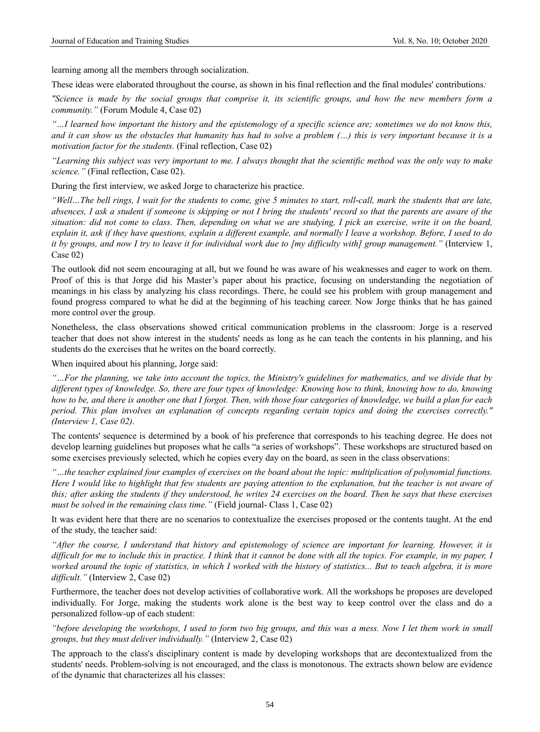learning among all the members through socialization.

These ideas were elaborated throughout the course, as shown in his final reflection and the final modules' contributions*:*

*"Science is made by the social groups that comprise it, its scientific groups, and how the new members form a community."* (Forum Module 4, Case 02)

*"…I learned how important the history and the epistemology of a specific science are; sometimes we do not know this, and it can show us the obstacles that humanity has had to solve a problem (…) this is very important because it is a motivation factor for the students.* (Final reflection, Case 02)

*"Learning this subject was very important to me. I always thought that the scientific method was the only way to make science."* (Final reflection, Case 02).

During the first interview, we asked Jorge to characterize his practice.

*"Well…The bell rings, I wait for the students to come, give 5 minutes to start, roll-call, mark the students that are late, absences, I ask a student if someone is skipping or not I bring the students' record so that the parents are aware of the situation: did not come to class. Then, depending on what we are studying, I pick an exercise, write it on the board, explain it, ask if they have questions, explain a different example, and normally I leave a workshop. Before, I used to do it by groups, and now I try to leave it for individual work due to [my difficulty with] group management."* (Interview 1, Case 02)

The outlook did not seem encouraging at all, but we found he was aware of his weaknesses and eager to work on them. Proof of this is that Jorge did his Master's paper about his practice, focusing on understanding the negotiation of meanings in his class by analyzing his class recordings. There, he could see his problem with group management and found progress compared to what he did at the beginning of his teaching career. Now Jorge thinks that he has gained more control over the group.

Nonetheless, the class observations showed critical communication problems in the classroom: Jorge is a reserved teacher that does not show interest in the students' needs as long as he can teach the contents in his planning, and his students do the exercises that he writes on the board correctly.

When inquired about his planning, Jorge said:

*"…For the planning, we take into account the topics, the Ministry's guidelines for mathematics, and we divide that by different types of knowledge. So, there are four types of knowledge: Knowing how to think, knowing how to do, knowing how to be, and there is another one that I forgot. Then, with those four categories of knowledge, we build a plan for each period. This plan involves an explanation of concepts regarding certain topics and doing the exercises correctly." (Interview 1, Case 02).*

The contents' sequence is determined by a book of his preference that corresponds to his teaching degree. He does not develop learning guidelines but proposes what he calls "a series of workshops". These workshops are structured based on some exercises previously selected, which he copies every day on the board, as seen in the class observations:

*"…the teacher explained four examples of exercises on the board about the topic: multiplication of polynomial functions. Here I would like to highlight that few students are paying attention to the explanation, but the teacher is not aware of this; after asking the students if they understood, he writes 24 exercises on the board. Then he says that these exercises must be solved in the remaining class time."* (Field journal- Class 1, Case 02)

It was evident here that there are no scenarios to contextualize the exercises proposed or the contents taught. At the end of the study, the teacher said:

*"After the course, I understand that history and epistemology of science are important for learning. However, it is difficult for me to include this in practice. I think that it cannot be done with all the topics. For example, in my paper, I worked around the topic of statistics, in which I worked with the history of statistics... But to teach algebra, it is more difficult."* (Interview 2, Case 02)

Furthermore, the teacher does not develop activities of collaborative work. All the workshops he proposes are developed individually. For Jorge, making the students work alone is the best way to keep control over the class and do a personalized follow-up of each student:

*"before developing the workshops, I used to form two big groups, and this was a mess. Now I let them work in small groups, but they must deliver individually."* (Interview 2, Case 02)

The approach to the class's disciplinary content is made by developing workshops that are decontextualized from the students' needs. Problem-solving is not encouraged, and the class is monotonous. The extracts shown below are evidence of the dynamic that characterizes all his classes: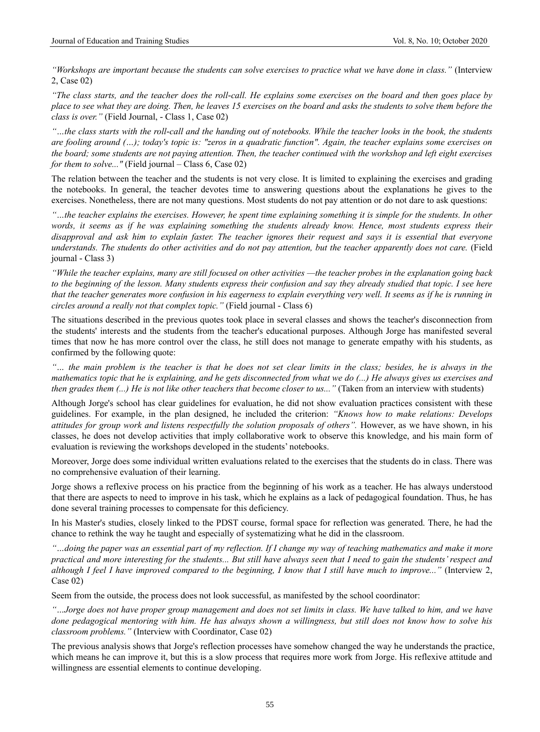*"Workshops are important because the students can solve exercises to practice what we have done in class."* (Interview 2, Case 02)

*"The class starts, and the teacher does the roll-call. He explains some exercises on the board and then goes place by place to see what they are doing. Then, he leaves 15 exercises on the board and asks the students to solve them before the class is over."* (Field Journal, - Class 1, Case 02)

*"…the class starts with the roll-call and the handing out of notebooks. While the teacher looks in the book, the students are fooling around (…); today's topic is: "zeros in a quadratic function". Again, the teacher explains some exercises on the board; some students are not paying attention. Then, the teacher continued with the workshop and left eight exercises for them to solve..."* (Field journal – Class 6, Case 02)

The relation between the teacher and the students is not very close. It is limited to explaining the exercises and grading the notebooks. In general, the teacher devotes time to answering questions about the explanations he gives to the exercises. Nonetheless, there are not many questions. Most students do not pay attention or do not dare to ask questions:

*"…the teacher explains the exercises. However, he spent time explaining something it is simple for the students. In other words, it seems as if he was explaining something the students already know. Hence, most students express their disapproval and ask him to explain faster. The teacher ignores their request and says it is essential that everyone understands. The students do other activities and do not pay attention, but the teacher apparently does not care.* (Field journal - Class 3)

*"While the teacher explains, many are still focused on other activities —the teacher probes in the explanation going back to the beginning of the lesson. Many students express their confusion and say they already studied that topic. I see here that the teacher generates more confusion in his eagerness to explain everything very well. It seems as if he is running in circles around a really not that complex topic."* (Field journal - Class 6)

The situations described in the previous quotes took place in several classes and shows the teacher's disconnection from the students' interests and the students from the teacher's educational purposes. Although Jorge has manifested several times that now he has more control over the class, he still does not manage to generate empathy with his students, as confirmed by the following quote:

*"… the main problem is the teacher is that he does not set clear limits in the class; besides, he is always in the mathematics topic that he is explaining, and he gets disconnected from what we do (...) He always gives us exercises and then grades them (...) He is not like other teachers that become closer to us..."* (Taken from an interview with students)

Although Jorge's school has clear guidelines for evaluation, he did not show evaluation practices consistent with these guidelines. For example, in the plan designed, he included the criterion: *"Knows how to make relations: Develops attitudes for group work and listens respectfully the solution proposals of others"*. However, as we have shown, in his classes, he does not develop activities that imply collaborative work to observe this knowledge, and his main form of evaluation is reviewing the workshops developed in the students' notebooks.

Moreover, Jorge does some individual written evaluations related to the exercises that the students do in class. There was no comprehensive evaluation of their learning.

Jorge shows a reflexive process on his practice from the beginning of his work as a teacher. He has always understood that there are aspects to need to improve in his task, which he explains as a lack of pedagogical foundation. Thus, he has done several training processes to compensate for this deficiency.

In his Master's studies, closely linked to the PDST course, formal space for reflection was generated. There, he had the chance to rethink the way he taught and especially of systematizing what he did in the classroom.

*"…doing the paper was an essential part of my reflection. If I change my way of teaching mathematics and make it more practical and more interesting for the students... But still have always seen that I need to gain the students' respect and although I feel I have improved compared to the beginning, I know that I still have much to improve..."* (Interview 2, Case 02)

Seem from the outside, the process does not look successful, as manifested by the school coordinator:

*"…Jorge does not have proper group management and does not set limits in class. We have talked to him, and we have done pedagogical mentoring with him. He has always shown a willingness, but still does not know how to solve his classroom problems."* (Interview with Coordinator, Case 02)

The previous analysis shows that Jorge's reflection processes have somehow changed the way he understands the practice, which means he can improve it, but this is a slow process that requires more work from Jorge. His reflexive attitude and willingness are essential elements to continue developing.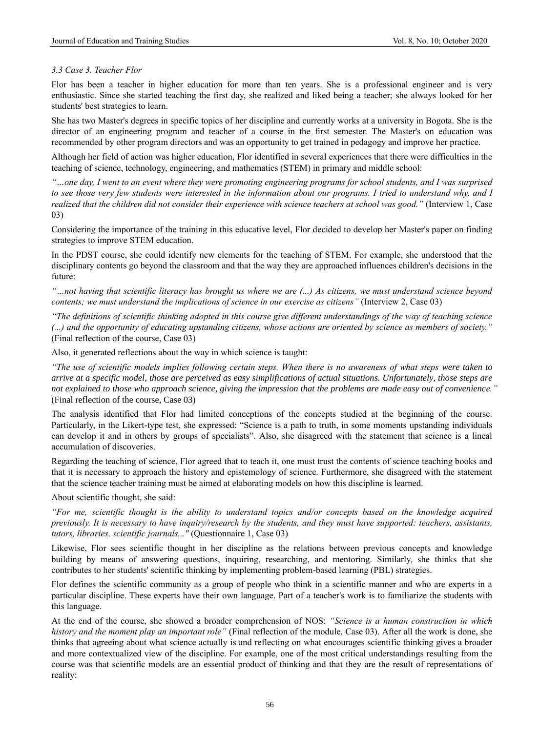# *3.3 Case 3. Teacher Flor*

Flor has been a teacher in higher education for more than ten years. She is a professional engineer and is very enthusiastic. Since she started teaching the first day, she realized and liked being a teacher; she always looked for her students' best strategies to learn.

She has two Master's degrees in specific topics of her discipline and currently works at a university in Bogota. She is the director of an engineering program and teacher of a course in the first semester. The Master's on education was recommended by other program directors and was an opportunity to get trained in pedagogy and improve her practice.

Although her field of action was higher education, Flor identified in several experiences that there were difficulties in the teaching of science, technology, engineering, and mathematics (STEM) in primary and middle school:

*"…one day, I went to an event where they were promoting engineering programs for school students, and I was surprised*  to see those very few students were interested in the information about our programs. I tried to understand why, and I *realized that the children did not consider their experience with science teachers at school was good."* (Interview 1, Case 03)

Considering the importance of the training in this educative level, Flor decided to develop her Master's paper on finding strategies to improve STEM education.

In the PDST course, she could identify new elements for the teaching of STEM. For example, she understood that the disciplinary contents go beyond the classroom and that the way they are approached influences children's decisions in the future:

*"…not having that scientific literacy has brought us where we are (...) As citizens, we must understand science beyond contents; we must understand the implications of science in our exercise as citizens"* (Interview 2, Case 03)

*"The definitions of scientific thinking adopted in this course give different understandings of the way of teaching science (...) and the opportunity of educating upstanding citizens, whose actions are oriented by science as members of society."*  (Final reflection of the course, Case 03)

Also, it generated reflections about the way in which science is taught:

*"The use of scientific models implies following certain steps. When there is no awareness of what steps were taken to arrive at a specific model, those are perceived as easy simplifications of actual situations. Unfortunately, those steps are not explained to those who approach science, giving the impression that the problems are made easy out of convenience."*  (Final reflection of the course, Case 03)

The analysis identified that Flor had limited conceptions of the concepts studied at the beginning of the course. Particularly, in the Likert-type test, she expressed: "Science is a path to truth, in some moments upstanding individuals can develop it and in others by groups of specialists". Also, she disagreed with the statement that science is a lineal accumulation of discoveries.

Regarding the teaching of science, Flor agreed that to teach it, one must trust the contents of science teaching books and that it is necessary to approach the history and epistemology of science. Furthermore, she disagreed with the statement that the science teacher training must be aimed at elaborating models on how this discipline is learned.

About scientific thought, she said:

*"For me, scientific thought is the ability to understand topics and/or concepts based on the knowledge acquired previously. It is necessary to have inquiry/research by the students, and they must have supported: teachers, assistants, tutors, libraries, scientific journals..."* (Questionnaire 1, Case 03)

Likewise, Flor sees scientific thought in her discipline as the relations between previous concepts and knowledge building by means of answering questions, inquiring, researching, and mentoring. Similarly, she thinks that she contributes to her students' scientific thinking by implementing problem-based learning (PBL) strategies.

Flor defines the scientific community as a group of people who think in a scientific manner and who are experts in a particular discipline. These experts have their own language. Part of a teacher's work is to familiarize the students with this language.

At the end of the course, she showed a broader comprehension of NOS: *"Science is a human construction in which history and the moment play an important role"* (Final reflection of the module, Case 03). After all the work is done, she thinks that agreeing about what science actually is and reflecting on what encourages scientific thinking gives a broader and more contextualized view of the discipline. For example, one of the most critical understandings resulting from the course was that scientific models are an essential product of thinking and that they are the result of representations of reality: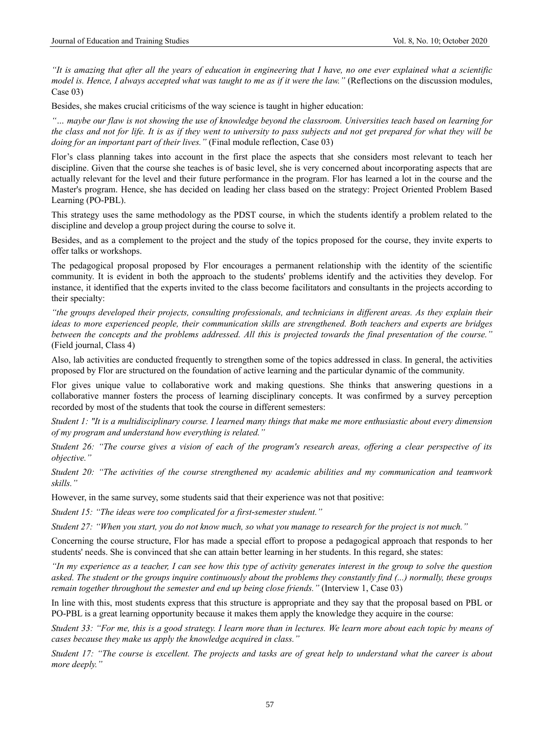*"It is amazing that after all the years of education in engineering that I have, no one ever explained what a scientific model is. Hence, I always accepted what was taught to me as if it were the law.*" (Reflections on the discussion modules, Case 03)

Besides, she makes crucial criticisms of the way science is taught in higher education:

*"… maybe our flaw is not showing the use of knowledge beyond the classroom. Universities teach based on learning for the class and not for life. It is as if they went to university to pass subjects and not get prepared for what they will be doing for an important part of their lives.*" (Final module reflection, Case 03)

Flor's class planning takes into account in the first place the aspects that she considers most relevant to teach her discipline. Given that the course she teaches is of basic level, she is very concerned about incorporating aspects that are actually relevant for the level and their future performance in the program. Flor has learned a lot in the course and the Master's program. Hence, she has decided on leading her class based on the strategy: Project Oriented Problem Based Learning (PO-PBL).

This strategy uses the same methodology as the PDST course, in which the students identify a problem related to the discipline and develop a group project during the course to solve it.

Besides, and as a complement to the project and the study of the topics proposed for the course, they invite experts to offer talks or workshops.

The pedagogical proposal proposed by Flor encourages a permanent relationship with the identity of the scientific community. It is evident in both the approach to the students' problems identify and the activities they develop. For instance, it identified that the experts invited to the class become facilitators and consultants in the projects according to their specialty:

*"the groups developed their projects, consulting professionals, and technicians in different areas. As they explain their ideas to more experienced people, their communication skills are strengthened. Both teachers and experts are bridges between the concepts and the problems addressed. All this is projected towards the final presentation of the course."*  (Field journal, Class 4)

Also, lab activities are conducted frequently to strengthen some of the topics addressed in class. In general, the activities proposed by Flor are structured on the foundation of active learning and the particular dynamic of the community.

Flor gives unique value to collaborative work and making questions. She thinks that answering questions in a collaborative manner fosters the process of learning disciplinary concepts. It was confirmed by a survey perception recorded by most of the students that took the course in different semesters:

*Student 1: "It is a multidisciplinary course. I learned many things that make me more enthusiastic about every dimension of my program and understand how everything is related."*

*Student 26: "The course gives a vision of each of the program's research areas, offering a clear perspective of its objective."*

*Student 20: "The activities of the course strengthened my academic abilities and my communication and teamwork skills."*

However, in the same survey, some students said that their experience was not that positive:

*Student 15: "The ideas were too complicated for a first-semester student."*

*Student 27: "When you start, you do not know much, so what you manage to research for the project is not much."*

Concerning the course structure, Flor has made a special effort to propose a pedagogical approach that responds to her students' needs. She is convinced that she can attain better learning in her students. In this regard, she states:

*"In my experience as a teacher, I can see how this type of activity generates interest in the group to solve the question asked. The student or the groups inquire continuously about the problems they constantly find (...) normally, these groups remain together throughout the semester and end up being close friends."* (Interview 1, Case 03)

In line with this, most students express that this structure is appropriate and they say that the proposal based on PBL or PO-PBL is a great learning opportunity because it makes them apply the knowledge they acquire in the course:

*Student 33: "For me, this is a good strategy. I learn more than in lectures. We learn more about each topic by means of cases because they make us apply the knowledge acquired in class."*

*Student 17: "The course is excellent. The projects and tasks are of great help to understand what the career is about more deeply."*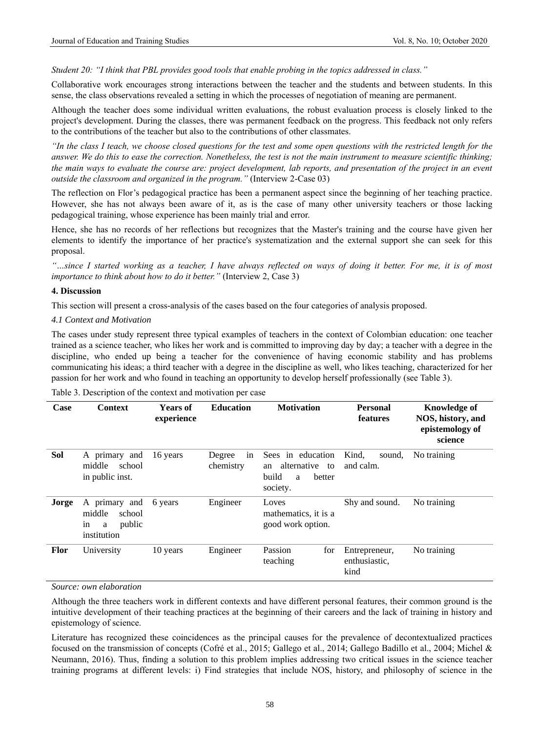*Student 20: "I think that PBL provides good tools that enable probing in the topics addressed in class."*

Collaborative work encourages strong interactions between the teacher and the students and between students. In this sense, the class observations revealed a setting in which the processes of negotiation of meaning are permanent.

Although the teacher does some individual written evaluations, the robust evaluation process is closely linked to the project's development. During the classes, there was permanent feedback on the progress. This feedback not only refers to the contributions of the teacher but also to the contributions of other classmates.

*"In the class I teach, we choose closed questions for the test and some open questions with the restricted length for the answer. We do this to ease the correction. Nonetheless, the test is not the main instrument to measure scientific thinking; the main ways to evaluate the course are: project development, lab reports, and presentation of the project in an event outside the classroom and organized in the program."* (Interview 2-Case 03)

The reflection on Flor's pedagogical practice has been a permanent aspect since the beginning of her teaching practice. However, she has not always been aware of it, as is the case of many other university teachers or those lacking pedagogical training, whose experience has been mainly trial and error.

Hence, she has no records of her reflections but recognizes that the Master's training and the course have given her elements to identify the importance of her practice's systematization and the external support she can seek for this proposal.

*"…since I started working as a teacher, I have always reflected on ways of doing it better. For me, it is of most importance to think about how to do it better.*" (Interview 2, Case 3)

## **4. Discussion**

This section will present a cross-analysis of the cases based on the four categories of analysis proposed.

#### *4.1 Context and Motivation*

The cases under study represent three typical examples of teachers in the context of Colombian education: one teacher trained as a science teacher, who likes her work and is committed to improving day by day; a teacher with a degree in the discipline, who ended up being a teacher for the convenience of having economic stability and has problems communicating his ideas; a third teacher with a degree in the discipline as well, who likes teaching, characterized for her passion for her work and who found in teaching an opportunity to develop herself professionally (see Table 3).

| Case        | <b>Context</b>                                                        | <b>Years of</b><br>experience | <b>Education</b>          | <b>Motivation</b>                                                                | <b>Personal</b><br>features            | <b>Knowledge of</b><br>NOS, history, and<br>epistemology of<br>science |
|-------------|-----------------------------------------------------------------------|-------------------------------|---------------------------|----------------------------------------------------------------------------------|----------------------------------------|------------------------------------------------------------------------|
| Sol         | A primary and<br>middle<br>school<br>in public inst.                  | 16 years                      | in<br>Degree<br>chemistry | Sees in education<br>alternative<br>to<br>an<br>build<br>better<br>a<br>society. | Kind,<br>sound,<br>and calm.           | No training                                                            |
| Jorge       | A primary and<br>middle<br>school<br>public<br>in<br>a<br>institution | 6 years                       | Engineer                  | Loves<br>mathematics, it is a<br>good work option.                               | Shy and sound.                         | No training                                                            |
| <b>Flor</b> | University                                                            | 10 years                      | Engineer                  | Passion<br>for<br>teaching                                                       | Entrepreneur,<br>enthusiastic,<br>kind | No training                                                            |

Table 3. Description of the context and motivation per case

*Source: own elaboration*

Although the three teachers work in different contexts and have different personal features, their common ground is the intuitive development of their teaching practices at the beginning of their careers and the lack of training in history and epistemology of science.

Literature has recognized these coincidences as the principal causes for the prevalence of decontextualized practices focused on the transmission of concepts (Cofré et al., 2015; Gallego et al., 2014; Gallego Badillo et al., 2004; Michel & Neumann, 2016). Thus, finding a solution to this problem implies addressing two critical issues in the science teacher training programs at different levels: i) Find strategies that include NOS, history, and philosophy of science in the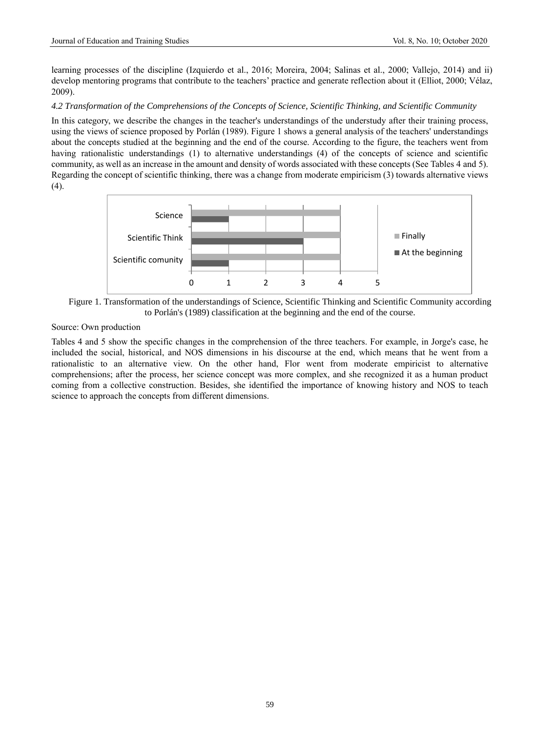learning processes of the discipline (Izquierdo et al., 2016; Moreira, 2004; Salinas et al., 2000; Vallejo, 2014) and ii) develop mentoring programs that contribute to the teachers' practice and generate reflection about it (Elliot, 2000; Vélaz, 2009).

# *4.2 Transformation of the Comprehensions of the Concepts of Science, Scientific Thinking, and Scientific Community*

In this category, we describe the changes in the teacher's understandings of the understudy after their training process, using the views of science proposed by Porlán (1989). Figure 1 shows a general analysis of the teachers' understandings about the concepts studied at the beginning and the end of the course. According to the figure, the teachers went from having rationalistic understandings (1) to alternative understandings (4) of the concepts of science and scientific community, as well as an increase in the amount and density of words associated with these concepts (See Tables 4 and 5). Regarding the concept of scientific thinking, there was a change from moderate empiricism (3) towards alternative views  $(4).$ 



Figure 1. Transformation of the understandings of Science, Scientific Thinking and Scientific Community according to Porlán's (1989) classification at the beginning and the end of the course.

# Source: Own production

Tables 4 and 5 show the specific changes in the comprehension of the three teachers. For example, in Jorge's case, he included the social, historical, and NOS dimensions in his discourse at the end, which means that he went from a rationalistic to an alternative view. On the other hand, Flor went from moderate empiricist to alternative comprehensions; after the process, her science concept was more complex, and she recognized it as a human product coming from a collective construction. Besides, she identified the importance of knowing history and NOS to teach science to approach the concepts from different dimensions.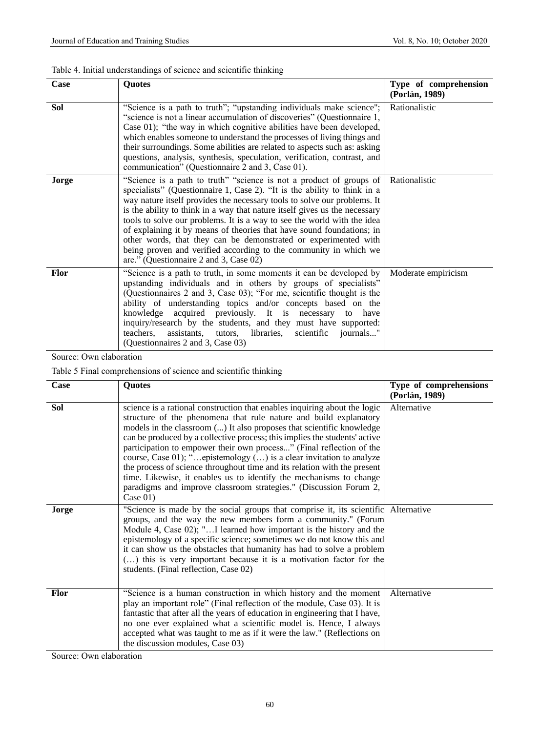|  | Table 4. Initial understandings of science and scientific thinking |  |  |  |
|--|--------------------------------------------------------------------|--|--|--|
|--|--------------------------------------------------------------------|--|--|--|

| Case        | Quotes                                                                                                                                                                                                                                                                                                                                                                                                                                                                                                                                                                                                                                         | Type of comprehension<br>(Porlán, 1989) |
|-------------|------------------------------------------------------------------------------------------------------------------------------------------------------------------------------------------------------------------------------------------------------------------------------------------------------------------------------------------------------------------------------------------------------------------------------------------------------------------------------------------------------------------------------------------------------------------------------------------------------------------------------------------------|-----------------------------------------|
| Sol         | "Science is a path to truth"; "upstanding individuals make science";<br>"science is not a linear accumulation of discoveries" (Questionnaire 1,<br>Case 01); "the way in which cognitive abilities have been developed,<br>which enables someone to understand the processes of living things and<br>their surroundings. Some abilities are related to aspects such as: asking<br>questions, analysis, synthesis, speculation, verification, contrast, and<br>communication" (Questionnaire 2 and 3, Case 01).                                                                                                                                 | Rationalistic                           |
| Jorge       | "Science is a path to truth" "science is not a product of groups of<br>specialists" (Questionnaire 1, Case 2). "It is the ability to think in a<br>way nature itself provides the necessary tools to solve our problems. It<br>is the ability to think in a way that nature itself gives us the necessary<br>tools to solve our problems. It is a way to see the world with the idea<br>of explaining it by means of theories that have sound foundations; in<br>other words, that they can be demonstrated or experimented with<br>being proven and verified according to the community in which we<br>are." (Questionnaire 2 and 3, Case 02) | Rationalistic                           |
| <b>Flor</b> | "Science is a path to truth, in some moments it can be developed by<br>upstanding individuals and in others by groups of specialists"<br>(Questionnaires 2 and 3, Case 03); "For me, scientific thought is the<br>ability of understanding topics and/or concepts based on the<br>knowledge acquired previously. It is necessary<br>have<br>to<br>inquiry/research by the students, and they must have supported:<br>assistants, tutors,<br>scientific<br>teachers.<br>libraries,<br>journals"<br>(Questionnaires 2 and 3, Case 03)                                                                                                            | Moderate empiricism                     |

Source: Own elaboration

Table 5 Final comprehensions of science and scientific thinking

| Case        | <b>Quotes</b>                                                                                                                                                                                                                                                                                                                                                                                                                                                                                                                                                                                                                                                                             | Type of comprehensions<br>(Porlán, 1989) |
|-------------|-------------------------------------------------------------------------------------------------------------------------------------------------------------------------------------------------------------------------------------------------------------------------------------------------------------------------------------------------------------------------------------------------------------------------------------------------------------------------------------------------------------------------------------------------------------------------------------------------------------------------------------------------------------------------------------------|------------------------------------------|
| Sol         | science is a rational construction that enables inquiring about the logic<br>structure of the phenomena that rule nature and build explanatory<br>models in the classroom () It also proposes that scientific knowledge<br>can be produced by a collective process; this implies the students' active<br>participation to empower their own process" (Final reflection of the<br>course, Case 01); "epistemology () is a clear invitation to analyze<br>the process of science throughout time and its relation with the present<br>time. Likewise, it enables us to identify the mechanisms to change<br>paradigms and improve classroom strategies." (Discussion Forum 2,<br>Case $01)$ | Alternative                              |
| Jorge       | "Science is made by the social groups that comprise it, its scientific Alternative<br>groups, and the way the new members form a community." (Forum<br>Module 4, Case 02); "I learned how important is the history and the<br>epistemology of a specific science; sometimes we do not know this and<br>it can show us the obstacles that humanity has had to solve a problem<br>() this is very important because it is a motivation factor for the<br>students. (Final reflection, Case 02)                                                                                                                                                                                              |                                          |
| <b>Flor</b> | "Science is a human construction in which history and the moment<br>play an important role" (Final reflection of the module, Case 03). It is<br>fantastic that after all the years of education in engineering that I have,<br>no one ever explained what a scientific model is. Hence, I always<br>accepted what was taught to me as if it were the law." (Reflections on<br>the discussion modules, Case 03)                                                                                                                                                                                                                                                                            | Alternative                              |

Source: Own elaboration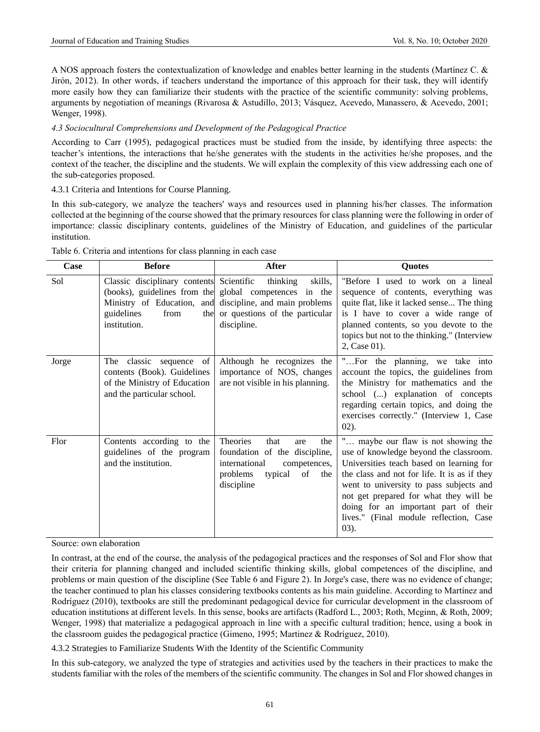A NOS approach fosters the contextualization of knowledge and enables better learning in the students (Martínez C. & Jirón, 2012). In other words, if teachers understand the importance of this approach for their task, they will identify more easily how they can familiarize their students with the practice of the scientific community: solving problems, arguments by negotiation of meanings (Rivarosa & Astudillo, 2013; Vásquez, Acevedo, Manassero, & Acevedo, 2001; Wenger, 1998).

# *4.3 Sociocultural Comprehensions and Development of the Pedagogical Practice*

According to Carr (1995), pedagogical practices must be studied from the inside, by identifying three aspects: the teacher's intentions, the interactions that he/she generates with the students in the activities he/she proposes, and the context of the teacher, the discipline and the students. We will explain the complexity of this view addressing each one of the sub-categories proposed.

# 4.3.1 Criteria and Intentions for Course Planning.

In this sub-category, we analyze the teachers' ways and resources used in planning his/her classes. The information collected at the beginning of the course showed that the primary resources for class planning were the following in order of importance: classic disciplinary contents, guidelines of the Ministry of Education, and guidelines of the particular institution.

| Case  | <b>Before</b>                                                                                                           | After                                                                                                                                                                                      | Quotes                                                                                                                                                                                                                                                                                                                                                       |
|-------|-------------------------------------------------------------------------------------------------------------------------|--------------------------------------------------------------------------------------------------------------------------------------------------------------------------------------------|--------------------------------------------------------------------------------------------------------------------------------------------------------------------------------------------------------------------------------------------------------------------------------------------------------------------------------------------------------------|
| Sol   | Classic disciplinary contents Scientific<br>guidelines<br>from<br>the<br>institution.                                   | skills,<br>thinking<br>(books), guidelines from the global competences in the<br>Ministry of Education, and discipline, and main problems<br>or questions of the particular<br>discipline. | "Before I used to work on a lineal<br>sequence of contents, everything was<br>quite flat, like it lacked sense The thing<br>is I have to cover a wide range of<br>planned contents, so you devote to the<br>topics but not to the thinking." (Interview<br>2, Case 01).                                                                                      |
| Jorge | The classic sequence<br>of<br>contents (Book). Guidelines<br>of the Ministry of Education<br>and the particular school. | Although he recognizes the<br>importance of NOS, changes<br>are not visible in his planning.                                                                                               | "For the planning, we take into<br>account the topics, the guidelines from<br>the Ministry for mathematics and the<br>school () explanation of concepts<br>regarding certain topics, and doing the<br>exercises correctly." (Interview 1, Case<br>$02$ ).                                                                                                    |
| Flor  | Contents according to the<br>guidelines of the program<br>and the institution.                                          | <b>Theories</b><br>that<br>the<br>are<br>foundation of the discipline,<br>international<br>competences,<br>problems<br>typical<br>of<br>the<br>discipline                                  | " maybe our flaw is not showing the<br>use of knowledge beyond the classroom.<br>Universities teach based on learning for<br>the class and not for life. It is as if they<br>went to university to pass subjects and<br>not get prepared for what they will be<br>doing for an important part of their<br>lives." (Final module reflection, Case<br>$(03)$ . |

Table 6. Criteria and intentions for class planning in each case

Source: own elaboration

In contrast, at the end of the course, the analysis of the pedagogical practices and the responses of Sol and Flor show that their criteria for planning changed and included scientific thinking skills, global competences of the discipline, and problems or main question of the discipline (See Table 6 and Figure 2). In Jorge's case, there was no evidence of change; the teacher continued to plan his classes considering textbooks contents as his main guideline. According to Martínez and Rodríguez (2010), textbooks are still the predominant pedagogical device for curricular development in the classroom of education institutions at different levels. In this sense, books are artifacts (Radford L., 2003; Roth, Mcginn, & Roth, 2009; Wenger, 1998) that materialize a pedagogical approach in line with a specific cultural tradition; hence, using a book in the classroom guides the pedagogical practice (Gimeno, 1995; Martinez & Rodríguez, 2010).

4.3.2 Strategies to Familiarize Students With the Identity of the Scientific Community

In this sub-category, we analyzed the type of strategies and activities used by the teachers in their practices to make the students familiar with the roles of the members of the scientific community. The changes in Sol and Flor showed changes in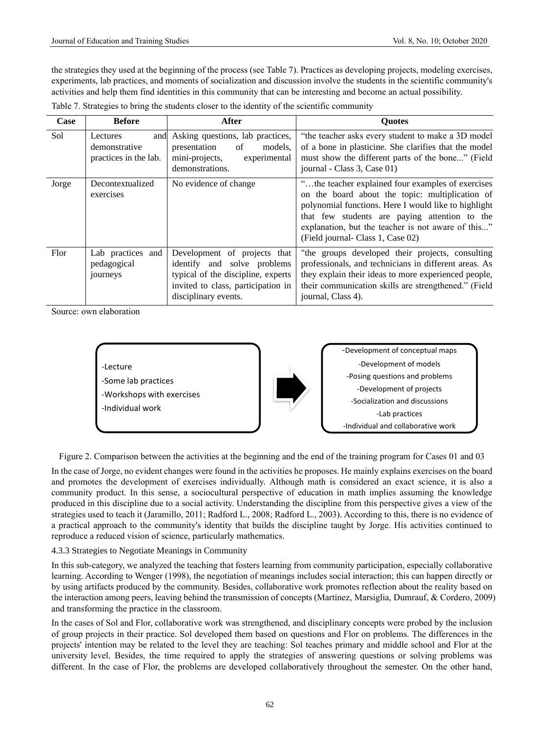the strategies they used at the beginning of the process (see Table 7). Practices as developing projects, modeling exercises, experiments, lab practices, and moments of socialization and discussion involve the students in the scientific community's activities and help them find identities in this community that can be interesting and become an actual possibility.

| Case  | <b>Before</b>                                             | After                                                                                                                                                           | <b>Quotes</b>                                                                                                                                                                                                                                                                                             |
|-------|-----------------------------------------------------------|-----------------------------------------------------------------------------------------------------------------------------------------------------------------|-----------------------------------------------------------------------------------------------------------------------------------------------------------------------------------------------------------------------------------------------------------------------------------------------------------|
| Sol   | Lectures<br>and<br>demonstrative<br>practices in the lab. | Asking questions, lab practices,<br>presentation<br>of<br>models.<br>mini-projects,<br>experimental<br>demonstrations.                                          | "the teacher asks every student to make a 3D model<br>of a bone in plasticine. She clarifies that the model<br>must show the different parts of the bone" (Field<br>journal - Class 3, Case 01)                                                                                                           |
| Jorge | Decontextualized<br>exercises                             | No evidence of change                                                                                                                                           | "the teacher explained four examples of exercises"<br>on the board about the topic: multiplication of<br>polynomial functions. Here I would like to highlight<br>that few students are paying attention to the<br>explanation, but the teacher is not aware of this"<br>(Field journal- Class 1, Case 02) |
| Flor  | Lab practices and<br>pedagogical<br>journeys              | Development of projects that<br>identify and solve problems<br>typical of the discipline, experts<br>invited to class, participation in<br>disciplinary events. | "the groups developed their projects, consulting<br>professionals, and technicians in different areas. As<br>they explain their ideas to more experienced people,<br>their communication skills are strengthened." (Field<br>journal, Class 4).                                                           |

Table 7. Strategies to bring the students closer to the identity of the scientific community

Source: own elaboration



Figure 2. Comparison between the activities at the beginning and the end of the training program for Cases 01 and 03

In the case of Jorge, no evident changes were found in the activities he proposes. He mainly explains exercises on the board and promotes the development of exercises individually. Although math is considered an exact science, it is also a community product. In this sense, a sociocultural perspective of education in math implies assuming the knowledge produced in this discipline due to a social activity. Understanding the discipline from this perspective gives a view of the strategies used to teach it (Jaramillo, 2011; Radford L., 2008; Radford L., 2003). According to this, there is no evidence of a practical approach to the community's identity that builds the discipline taught by Jorge. His activities continued to reproduce a reduced vision of science, particularly mathematics.

# 4.3.3 Strategies to Negotiate Meanings in Community

In this sub-category, we analyzed the teaching that fosters learning from community participation, especially collaborative learning. According to Wenger (1998), the negotiation of meanings includes social interaction; this can happen directly or by using artifacts produced by the community. Besides, collaborative work promotes reflection about the reality based on the interaction among peers, leaving behind the transmission of concepts (Martínez, Marsiglia, Dumrauf, & Cordero, 2009) and transforming the practice in the classroom.

In the cases of Sol and Flor, collaborative work was strengthened, and disciplinary concepts were probed by the inclusion of group projects in their practice. Sol developed them based on questions and Flor on problems. The differences in the projects' intention may be related to the level they are teaching: Sol teaches primary and middle school and Flor at the university level. Besides, the time required to apply the strategies of answering questions or solving problems was different. In the case of Flor, the problems are developed collaboratively throughout the semester. On the other hand,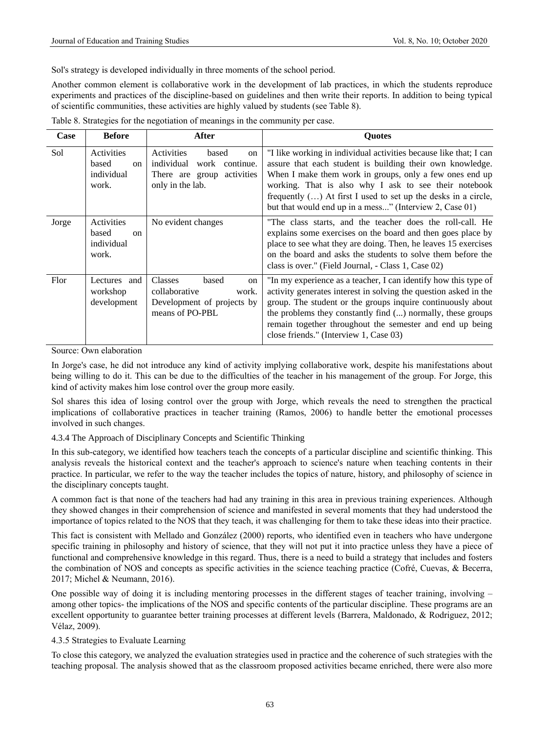Sol's strategy is developed individually in three moments of the school period.

Another common element is collaborative work in the development of lab practices, in which the students reproduce experiments and practices of the discipline-based on guidelines and then write their reports. In addition to being typical of scientific communities, these activities are highly valued by students (see Table 8).

| Case  | <b>Before</b>                                               | After                                                                                                                     | <b>Ouotes</b>                                                                                                                                                                                                                                                                                                                                                                     |
|-------|-------------------------------------------------------------|---------------------------------------------------------------------------------------------------------------------------|-----------------------------------------------------------------------------------------------------------------------------------------------------------------------------------------------------------------------------------------------------------------------------------------------------------------------------------------------------------------------------------|
| Sol   | Activities<br>based<br><sub>on</sub><br>individual<br>work. | Activities<br>based<br><sub>on</sub><br>individual<br>work continue.<br>activities<br>There are group<br>only in the lab. | "I like working in individual activities because like that; I can<br>assure that each student is building their own knowledge.<br>When I make them work in groups, only a few ones end up<br>working. That is also why I ask to see their notebook<br>frequently $()$ At first I used to set up the desks in a circle,<br>but that would end up in a mess" (Interview 2, Case 01) |
| Jorge | Activities<br>based<br><sub>on</sub><br>individual<br>work. | No evident changes                                                                                                        | "The class starts, and the teacher does the roll-call. He<br>explains some exercises on the board and then goes place by<br>place to see what they are doing. Then, he leaves 15 exercises<br>on the board and asks the students to solve them before the<br>class is over." (Field Journal, - Class 1, Case 02)                                                                  |
| Flor  | Lectures and<br>workshop<br>development                     | <b>Classes</b><br>based<br>on<br>collaborative<br>work.<br>Development of projects by<br>means of PO-PBL                  | "In my experience as a teacher, I can identify how this type of<br>activity generates interest in solving the question asked in the<br>group. The student or the groups inquire continuously about<br>the problems they constantly find () normally, these groups<br>remain together throughout the semester and end up being<br>close friends." (Interview 1, Case 03)           |

Table 8. Strategies for the negotiation of meanings in the community per case.

Source: Own elaboration

In Jorge's case, he did not introduce any kind of activity implying collaborative work, despite his manifestations about being willing to do it. This can be due to the difficulties of the teacher in his management of the group. For Jorge, this kind of activity makes him lose control over the group more easily.

Sol shares this idea of losing control over the group with Jorge, which reveals the need to strengthen the practical implications of collaborative practices in teacher training (Ramos, 2006) to handle better the emotional processes involved in such changes.

## 4.3.4 The Approach of Disciplinary Concepts and Scientific Thinking

In this sub-category, we identified how teachers teach the concepts of a particular discipline and scientific thinking. This analysis reveals the historical context and the teacher's approach to science's nature when teaching contents in their practice. In particular, we refer to the way the teacher includes the topics of nature, history, and philosophy of science in the disciplinary concepts taught.

A common fact is that none of the teachers had had any training in this area in previous training experiences. Although they showed changes in their comprehension of science and manifested in several moments that they had understood the importance of topics related to the NOS that they teach, it was challenging for them to take these ideas into their practice.

This fact is consistent with Mellado and González (2000) reports, who identified even in teachers who have undergone specific training in philosophy and history of science, that they will not put it into practice unless they have a piece of functional and comprehensive knowledge in this regard. Thus, there is a need to build a strategy that includes and fosters the combination of NOS and concepts as specific activities in the science teaching practice (Cofré, Cuevas, & Becerra, 2017; Michel & Neumann, 2016).

One possible way of doing it is including mentoring processes in the different stages of teacher training, involving – among other topics- the implications of the NOS and specific contents of the particular discipline. These programs are an excellent opportunity to guarantee better training processes at different levels (Barrera, Maldonado, & Rodriguez, 2012; Vélaz, 2009).

## 4.3.5 Strategies to Evaluate Learning

To close this category, we analyzed the evaluation strategies used in practice and the coherence of such strategies with the teaching proposal. The analysis showed that as the classroom proposed activities became enriched, there were also more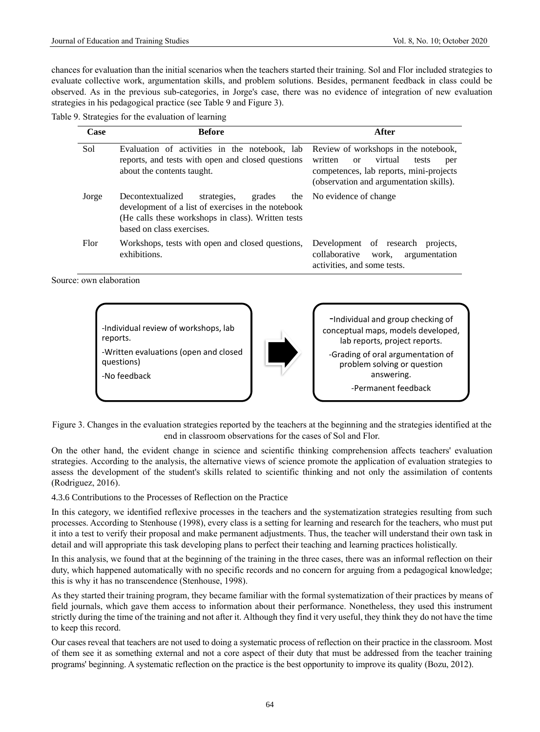chances for evaluation than the initial scenarios when the teachers started their training. Sol and Flor included strategies to evaluate collective work, argumentation skills, and problem solutions. Besides, permanent feedback in class could be observed. As in the previous sub-categories, in Jorge's case, there was no evidence of integration of new evaluation strategies in his pedagogical practice (see Table 9 and Figure 3).

| Table 9. Strategies for the evaluation of learning |  |  |  |
|----------------------------------------------------|--|--|--|
|----------------------------------------------------|--|--|--|

| Case  | <b>Before</b>                                                                                                                                                                      | After                                                                                                                                                                             |
|-------|------------------------------------------------------------------------------------------------------------------------------------------------------------------------------------|-----------------------------------------------------------------------------------------------------------------------------------------------------------------------------------|
| Sol   | Evaluation of activities in the notebook, lab<br>reports, and tests with open and closed questions<br>about the contents taught.                                                   | Review of workshops in the notebook,<br>written<br>virtual<br><sub>or</sub><br>tests<br>per<br>competences, lab reports, mini-projects<br>(observation and argumentation skills). |
| Jorge | Decontextualized<br>strategies,<br>grades<br>development of a list of exercises in the notebook<br>(He calls these workshops in class). Written tests<br>based on class exercises. | the No evidence of change                                                                                                                                                         |
| Flor  | Workshops, tests with open and closed questions,<br>exhibitions.                                                                                                                   | Development of research<br>projects,<br>argumentation<br>collaborative<br>work,<br>activities, and some tests.                                                                    |

Source: own elaboration

-Individual review of workshops, lab reports. -Written evaluations (open and closed questions) -No feedback



-Individual and group checking of conceptual maps, models developed, lab reports, project reports. -Grading of oral argumentation of problem solving or question answering. -Permanent feedback

Figure 3. Changes in the evaluation strategies reported by the teachers at the beginning and the strategies identified at the end in classroom observations for the cases of Sol and Flor.

On the other hand, the evident change in science and scientific thinking comprehension affects teachers' evaluation strategies. According to the analysis, the alternative views of science promote the application of evaluation strategies to assess the development of the student's skills related to scientific thinking and not only the assimilation of contents (Rodriguez, 2016).

4.3.6 Contributions to the Processes of Reflection on the Practice

In this category, we identified reflexive processes in the teachers and the systematization strategies resulting from such processes. According to Stenhouse (1998), every class is a setting for learning and research for the teachers, who must put it into a test to verify their proposal and make permanent adjustments. Thus, the teacher will understand their own task in detail and will appropriate this task developing plans to perfect their teaching and learning practices holistically.

In this analysis, we found that at the beginning of the training in the three cases, there was an informal reflection on their duty, which happened automatically with no specific records and no concern for arguing from a pedagogical knowledge; this is why it has no transcendence (Stenhouse, 1998).

As they started their training program, they became familiar with the formal systematization of their practices by means of field journals, which gave them access to information about their performance. Nonetheless, they used this instrument strictly during the time of the training and not after it. Although they find it very useful, they think they do not have the time to keep this record.

Our cases reveal that teachers are not used to doing a systematic process of reflection on their practice in the classroom. Most of them see it as something external and not a core aspect of their duty that must be addressed from the teacher training programs' beginning. A systematic reflection on the practice is the best opportunity to improve its quality (Bozu, 2012).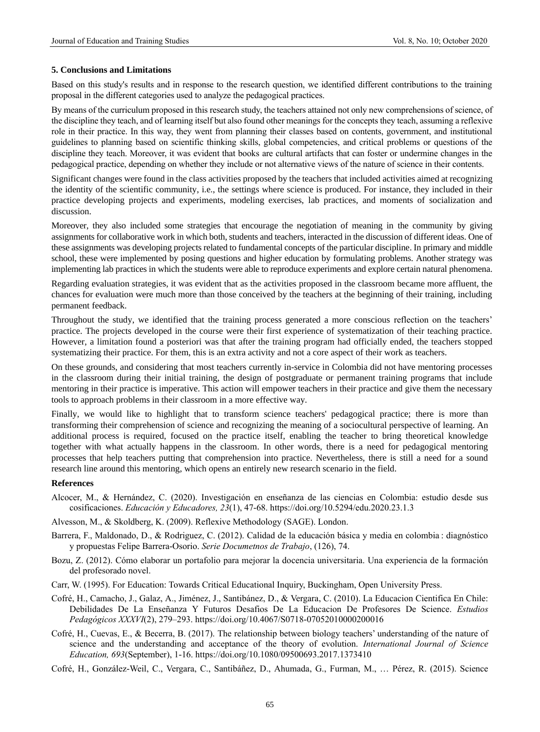#### **5. Conclusions and Limitations**

Based on this study's results and in response to the research question, we identified different contributions to the training proposal in the different categories used to analyze the pedagogical practices.

By means of the curriculum proposed in this research study, the teachers attained not only new comprehensions of science, of the discipline they teach, and of learning itself but also found other meanings for the concepts they teach, assuming a reflexive role in their practice. In this way, they went from planning their classes based on contents, government, and institutional guidelines to planning based on scientific thinking skills, global competencies, and critical problems or questions of the discipline they teach. Moreover, it was evident that books are cultural artifacts that can foster or undermine changes in the pedagogical practice, depending on whether they include or not alternative views of the nature of science in their contents.

Significant changes were found in the class activities proposed by the teachers that included activities aimed at recognizing the identity of the scientific community, i.e., the settings where science is produced. For instance, they included in their practice developing projects and experiments, modeling exercises, lab practices, and moments of socialization and discussion.

Moreover, they also included some strategies that encourage the negotiation of meaning in the community by giving assignments for collaborative work in which both, students and teachers, interacted in the discussion of different ideas. One of these assignments was developing projects related to fundamental concepts of the particular discipline. In primary and middle school, these were implemented by posing questions and higher education by formulating problems. Another strategy was implementing lab practices in which the students were able to reproduce experiments and explore certain natural phenomena.

Regarding evaluation strategies, it was evident that as the activities proposed in the classroom became more affluent, the chances for evaluation were much more than those conceived by the teachers at the beginning of their training, including permanent feedback.

Throughout the study, we identified that the training process generated a more conscious reflection on the teachers' practice. The projects developed in the course were their first experience of systematization of their teaching practice. However, a limitation found a posteriori was that after the training program had officially ended, the teachers stopped systematizing their practice. For them, this is an extra activity and not a core aspect of their work as teachers.

On these grounds, and considering that most teachers currently in-service in Colombia did not have mentoring processes in the classroom during their initial training, the design of postgraduate or permanent training programs that include mentoring in their practice is imperative. This action will empower teachers in their practice and give them the necessary tools to approach problems in their classroom in a more effective way.

Finally, we would like to highlight that to transform science teachers' pedagogical practice; there is more than transforming their comprehension of science and recognizing the meaning of a sociocultural perspective of learning. An additional process is required, focused on the practice itself, enabling the teacher to bring theoretical knowledge together with what actually happens in the classroom. In other words, there is a need for pedagogical mentoring processes that help teachers putting that comprehension into practice. Nevertheless, there is still a need for a sound research line around this mentoring, which opens an entirely new research scenario in the field.

#### **References**

- Alcocer, M., & Hernández, C. (2020). Investigación en enseñanza de las ciencias en Colombia: estudio desde sus cosificaciones. *Educación y Educadores, 23*(1), 47-68. https://doi.org/10.5294/edu.2020.23.1.3
- Alvesson, M., & Skoldberg, K. (2009). Reflexive Methodology (SAGE). London.
- Barrera, F., Maldonado, D., & Rodriguez, C. (2012). Calidad de la educación básica y media en colombia : diagnóstico y propuestas Felipe Barrera-Osorio. *Serie Documetnos de Trabajo*, (126), 74.
- Bozu, Z. (2012). Cómo elaborar un portafolio para mejorar la docencia universitaria. Una experiencia de la formación del profesorado novel.
- Carr, W. (1995). For Education: Towards Critical Educational Inquiry, Buckingham, Open University Press.
- Cofré, H., Camacho, J., Galaz, A., Jiménez, J., Santibánez, D., & Vergara, C. (2010). La Educacion Cientifica En Chile: Debilidades De La Enseñanza Y Futuros Desafios De La Educacion De Profesores De Science. *Estudios Pedagógicos XXXVI*(2), 279–293.<https://doi.org/10.4067/S0718-07052010000200016>
- Cofré, H., Cuevas, E., & Becerra, B. (2017). The relationship between biology teachers' understanding of the nature of science and the understanding and acceptance of the theory of evolution. *International Journal of Science Education, 693*(September), 1-16[. https://doi.org/10.1080/09500693.2017.1373410](https://doi.org/10.1080/09500693.2017.1373410)

Cofré, H., González-Weil, C., Vergara, C., Santibáñez, D., Ahumada, G., Furman, M., … Pérez, R. (2015). Science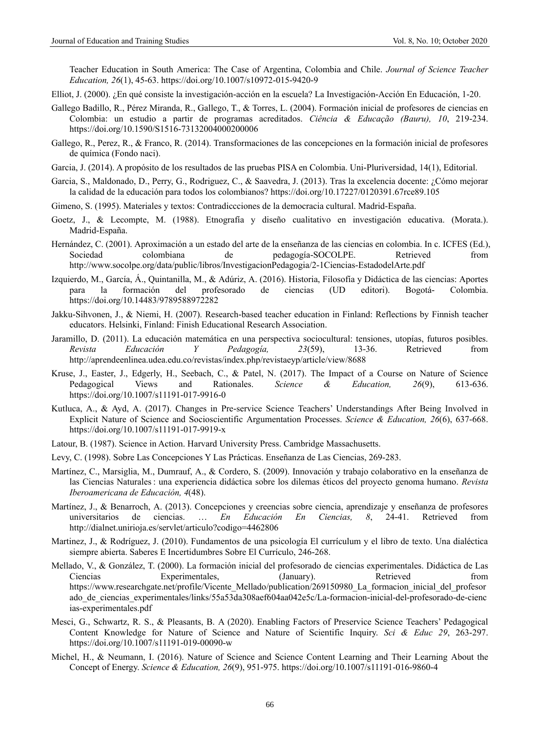Teacher Education in South America: The Case of Argentina, Colombia and Chile. *Journal of Science Teacher Education, 26*(1), 45-63.<https://doi.org/10.1007/s10972-015-9420-9>

- Elliot, J. (2000). ¿En qué consiste la investigación-acción en la escuela? La Investigación-Acción En Educación, 1-20.
- Gallego Badillo, R., Pérez Miranda, R., Gallego, T., & Torres, L. (2004). Formación inicial de profesores de ciencias en Colombia: un estudio a partir de programas acreditados. *Ciência & Educação (Bauru), 10*, 219-234. <https://doi.org/10.1590/S1516-73132004000200006>
- Gallego, R., Perez, R., & Franco, R. (2014). Transformaciones de las concepciones en la formación inicial de profesores de química (Fondo naci).
- Garcia, J. (2014). A propósito de los resultados de las pruebas PISA en Colombia. Uni-Pluriversidad, 14(1), Editorial.
- Garcia, S., Maldonado, D., Perry, G., Rodriguez, C., & Saavedra, J. (2013). Tras la excelencia docente: ¿Cómo mejorar la calidad de la educación para todos los colombianos[? https://doi.org/10.17227/0120391.67rce89.105](https://doi.org/10.17227/0120391.67rce89.105)
- Gimeno, S. (1995). Materiales y textos: Contradiccciones de la democracia cultural. Madrid-España.
- Goetz, J., & Lecompte, M. (1988). Etnografía y diseño cualitativo en investigación educativa. (Morata.). Madrid-España.
- Hernández, C. (2001). Aproximación a un estado del arte de la enseñanza de las ciencias en colombia. In c. ICFES (Ed.), Sociedad colombiana de pedagogía-SOCOLPE. Retrieved from http://www.socolpe.org/data/public/libros/InvestigacionPedagogia/2-1Ciencias-EstadodelArte.pdf
- Izquierdo, M., García, Á., Quintanilla, M., & Adúriz, A. (2016). Historia, Filosofía y Didáctica de las ciencias: Aportes para la formación del profesorado de ciencias (UD editori). Bogotá- Colombia. <https://doi.org/10.14483/9789588972282>
- Jakku-Sihvonen, J., & Niemi, H. (2007). Research-based teacher education in Finland: Reflections by Finnish teacher educators. Helsinki, Finland: Finish Educational Research Association.
- Jaramillo, D. (2011). La educación matemática en una perspectiva sociocultural: tensiones, utopías, futuros posibles. *Revista Educación Y Pedagogía, 23*(59), 13-36. Retrieved from http://aprendeenlinea.udea.edu.co/revistas/index.php/revistaeyp/article/view/8688
- Kruse, J., Easter, J., Edgerly, H., Seebach, C., & Patel, N. (2017). The Impact of a Course on Nature of Science<br>Pedagogical Views and Rationales. Science & Education, 26(9), 613-636. Pedagogical Views and Rationales. *Science & Education, 26*(9), 613-636. <https://doi.org/10.1007/s11191-017-9916-0>
- Kutluca, A., & Ayd, A. (2017). Changes in Pre-service Science Teachers' Understandings After Being Involved in Explicit Nature of Science and Socioscientific Argumentation Processes. *Science & Education, 26*(6), 637-668. <https://doi.org/10.1007/s11191-017-9919-x>
- Latour, B. (1987). Science in Action. Harvard University Press. Cambridge Massachusetts.
- Levy, C. (1998). Sobre Las Concepciones Y Las Prácticas. Enseñanza de Las Ciencias, 269-283.
- Martínez, C., Marsiglia, M., Dumrauf, A., & Cordero, S. (2009). Innovación y trabajo colaborativo en la enseñanza de las Ciencias Naturales : una experiencia didáctica sobre los dilemas éticos del proyecto genoma humano. *Revista Iberoamericana de Educación, 4*(48).
- Martínez, J., & Benarroch, A. (2013). Concepciones y creencias sobre ciencia, aprendizaje y enseñanza de profesores universitarios de ciencias. … *En Educación En Ciencias, 8*, 24-41. Retrieved from http://dialnet.unirioja.es/servlet/articulo?codigo=4462806
- Martinez, J., & Rodríguez, J. (2010). Fundamentos de una psicología El currículum y el libro de texto. Una dialéctica siempre abierta. Saberes E Incertidumbres Sobre El Currículo, 246-268.
- Mellado, V., & González, T. (2000). La formación inicial del profesorado de ciencias experimentales. Didáctica de Las Ciencias Experimentales, (January). Retrieved from https://www.researchgate.net/profile/Vicente\_Mellado/publication/269150980\_La\_formacion\_inicial\_del\_profesor ado\_de\_ciencias\_experimentales/links/55a53da308aef604aa042e5c/La-formacion-inicial-del-profesorado-de-cienc ias-experimentales.pdf
- Mesci, G., Schwartz, R. S., & Pleasants, B. A (2020). Enabling Factors of Preservice Science Teachers' Pedagogical Content Knowledge for Nature of Science and Nature of Scientific Inquiry. *Sci & Educ 29*, 263-297. <https://doi.org/10.1007/s11191-019-00090-w>
- Michel, H., & Neumann, I. (2016). Nature of Science and Science Content Learning and Their Learning About the Concept of Energy. *Science & Education, 26*(9), 951-975.<https://doi.org/10.1007/s11191-016-9860-4>